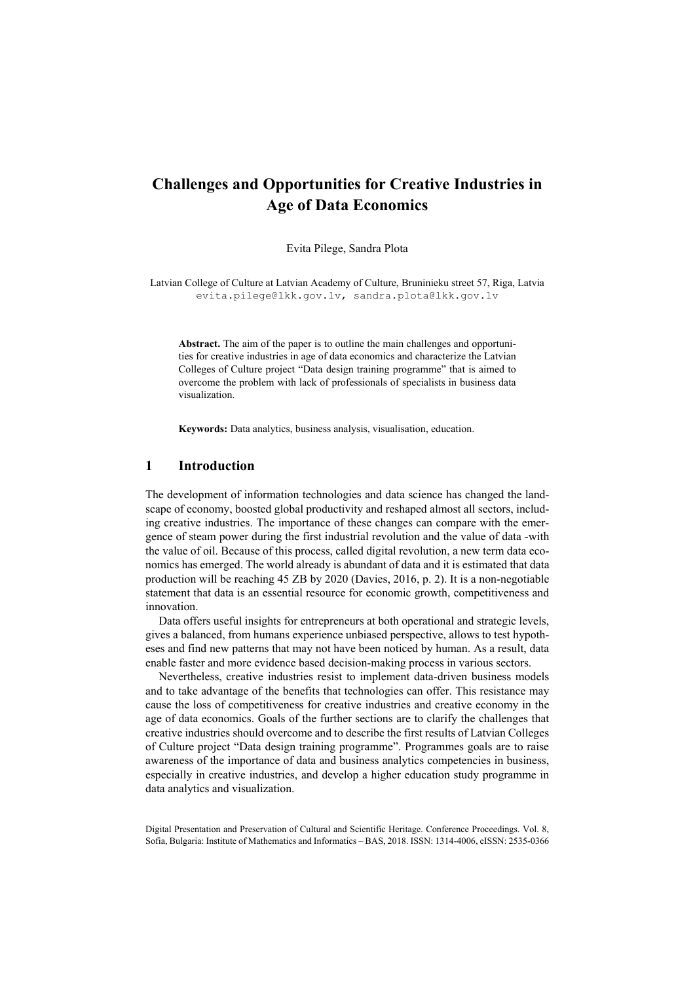# **Challenges and Opportunities for Creative Industries in Age of Data Economics**

Evita Pilege, Sandra Plota

Latvian College of Culture at Latvian Academy of Culture, Bruninieku street 57, Riga, Latvia evita.pilege@lkk.gov.lv, sandra.plota@lkk.gov.lv

**Abstract.** The aim of the paper is to outline the main challenges and opportunities for creative industries in age of data economics and characterize the Latvian Colleges of Culture project "Data design training programme" that is aimed to overcome the problem with lack of professionals of specialists in business data visualization.

**Keywords:** Data analytics, business analysis, visualisation, education.

#### **1 Introduction**

The development of information technologies and data science has changed the landscape of economy, boosted global productivity and reshaped almost all sectors, including creative industries. The importance of these changes can compare with the emergence of steam power during the first industrial revolution and the value of data -with the value of oil. Because of this process, called digital revolution, a new term data economics has emerged. The world already is abundant of data and it is estimated that data production will be reaching 45 ZB by 2020 (Davies, 2016, p. 2). It is a non-negotiable statement that data is an essential resource for economic growth, competitiveness and innovation.

Data offers useful insights for entrepreneurs at both operational and strategic levels. gives a balanced, from humans experience unbiased perspective, allows to test hypotheses and find new patterns that may not have been noticed by human. As a result, data enable faster and more evidence based decision-making process in various sectors.

Nevertheless, creative industries resist to implement data-driven business models and to take advantage of the benefits that technologies can offer. This resistance may cause the loss of competitiveness for creative industries and creative economy in the age of data economics. Goals of the further sections are to clarify the challenges that creative industries should overcome and to describe the first results of Latvian Colleges of Culture project "Data design training programme". Programmes goals are to raise awareness of the importance of data and business analytics competencies in business, especially in creative industries, and develop a higher education study programme in data analytics and visualization.

Digital Presentation and Preservation of Cultural and Scientific Heritage. Conference Proceedings. Vol. 8, Sofia, Bulgaria: Institute of Mathematics and Informatics – BAS, 2018. ISSN: 1314-4006, eISSN: 2535-0366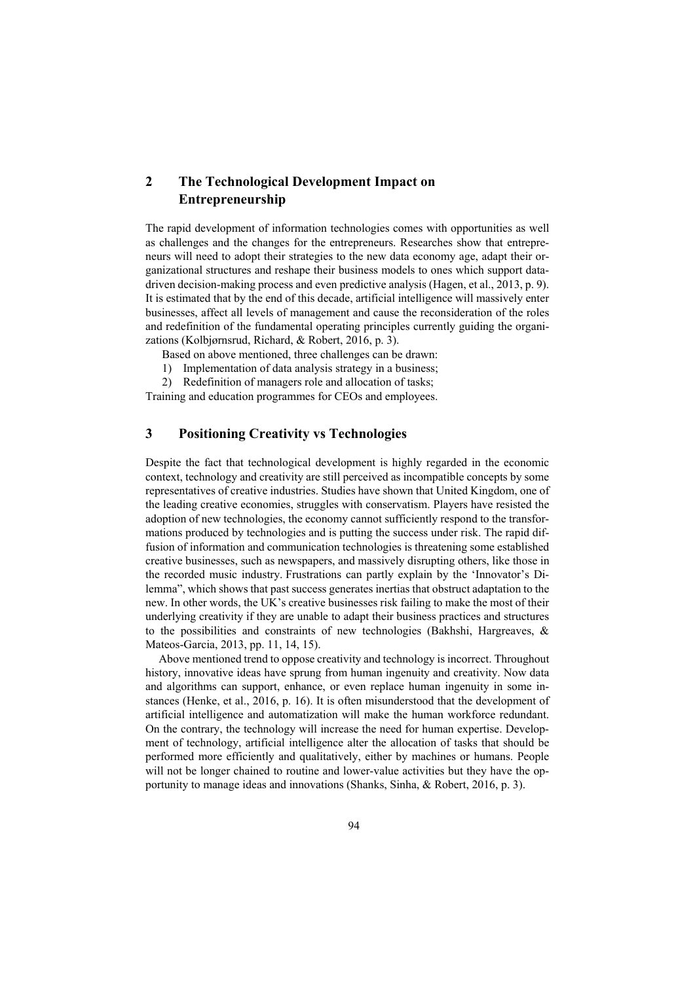## **2 The Technological Development Impact on Entrepreneurship**

The rapid development of information technologies comes with opportunities as well as challenges and the changes for the entrepreneurs. Researches show that entrepreneurs will need to adopt their strategies to the new data economy age, adapt their organizational structures and reshape their business models to ones which support datadriven decision-making process and even predictive analysis (Hagen, et al., 2013, p. 9). It is estimated that by the end of this decade, artificial intelligence will massively enter businesses, affect all levels of management and cause the reconsideration of the roles and redefinition of the fundamental operating principles currently guiding the organizations (Kolbjørnsrud, Richard, & Robert, 2016, p. 3).

Based on above mentioned, three challenges can be drawn:

- 1) Implementation of data analysis strategy in a business;
- 2) Redefinition of managers role and allocation of tasks;

Training and education programmes for CEOs and employees.

## **3 Positioning Creativity vs Technologies**

Despite the fact that technological development is highly regarded in the economic context, technology and creativity are still perceived as incompatible concepts by some representatives of creative industries. Studies have shown that United Kingdom, one of the leading creative economies, struggles with conservatism. Players have resisted the adoption of new technologies, the economy cannot sufficiently respond to the transformations produced by technologies and is putting the success under risk. The rapid diffusion of information and communication technologies is threatening some established creative businesses, such as newspapers, and massively disrupting others, like those in the recorded music industry. Frustrations can partly explain by the 'Innovator's Dilemma", which shows that past success generates inertias that obstruct adaptation to the new. In other words, the UK's creative businesses risk failing to make the most of their underlying creativity if they are unable to adapt their business practices and structures to the possibilities and constraints of new technologies (Bakhshi, Hargreaves, & Mateos-Garcia, 2013, pp. 11, 14, 15).

Above mentioned trend to oppose creativity and technology is incorrect. Throughout history, innovative ideas have sprung from human ingenuity and creativity. Now data and algorithms can support, enhance, or even replace human ingenuity in some instances (Henke, et al., 2016, p. 16). It is often misunderstood that the development of artificial intelligence and automatization will make the human workforce redundant. On the contrary, the technology will increase the need for human expertise. Development of technology, artificial intelligence alter the allocation of tasks that should be performed more efficiently and qualitatively, either by machines or humans. People will not be longer chained to routine and lower-value activities but they have the opportunity to manage ideas and innovations (Shanks, Sinha, & Robert, 2016, p. 3).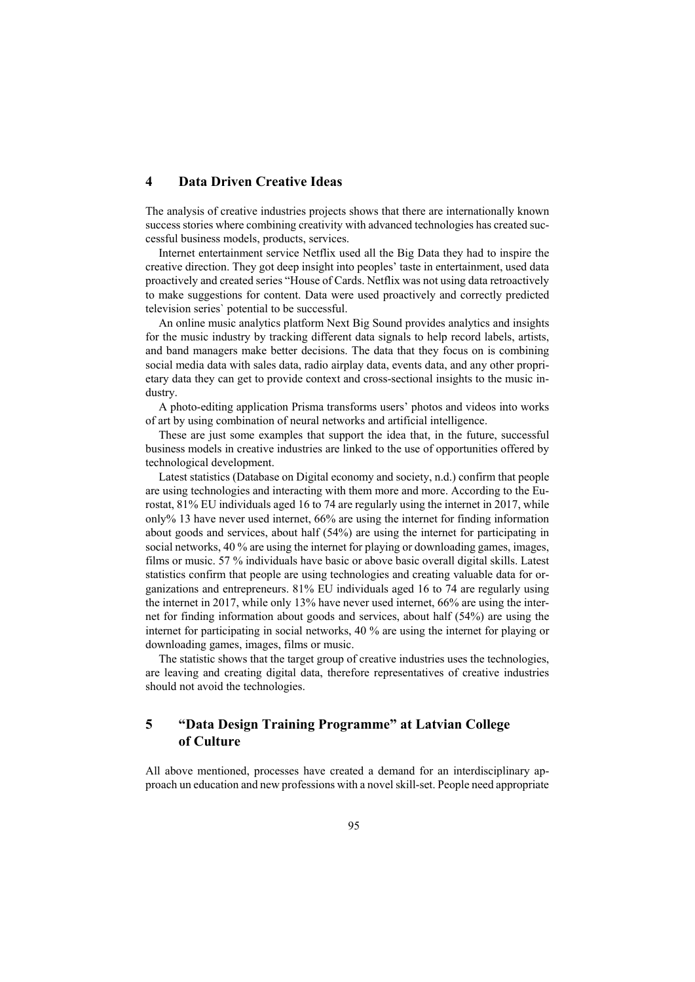### **4 Data Driven Creative Ideas**

The analysis of creative industries projects shows that there are internationally known success stories where combining creativity with advanced technologies has created successful business models, products, services.

Internet entertainment service Netflix used all the Big Data they had to inspire the creative direction. They got deep insight into peoples' taste in entertainment, used data proactively and created series "House of Cards. Netflix was not using data retroactively to make suggestions for content. Data were used proactively and correctly predicted television series` potential to be successful.

An online music analytics platform Next Big Sound provides analytics and insights for the music industry by tracking different data signals to help record labels, artists, and band managers make better decisions. The data that they focus on is combining social media data with sales data, radio airplay data, events data, and any other proprietary data they can get to provide context and cross-sectional insights to the music industry.

A photo-editing application Prisma transforms users' photos and videos into works of art by using combination of neural networks and artificial intelligence.

These are just some examples that support the idea that, in the future, successful business models in creative industries are linked to the use of opportunities offered by technological development.

Latest statistics (Database on Digital economy and society, n.d.) confirm that people are using technologies and interacting with them more and more. According to the Eurostat, 81% EU individuals aged 16 to 74 are regularly using the internet in 2017, while only% 13 have never used internet, 66% are using the internet for finding information about goods and services, about half (54%) are using the internet for participating in social networks, 40 % are using the internet for playing or downloading games, images, films or music. 57 % individuals have basic or above basic overall digital skills. Latest statistics confirm that people are using technologies and creating valuable data for organizations and entrepreneurs. 81% EU individuals aged 16 to 74 are regularly using the internet in 2017, while only 13% have never used internet, 66% are using the internet for finding information about goods and services, about half (54%) are using the internet for participating in social networks, 40 % are using the internet for playing or downloading games, images, films or music.

The statistic shows that the target group of creative industries uses the technologies, are leaving and creating digital data, therefore representatives of creative industries should not avoid the technologies.

## **5 "Data Design Training Programme" at Latvian College of Culture**

All above mentioned, processes have created a demand for an interdisciplinary approach un education and new professions with a novel skill-set. People need appropriate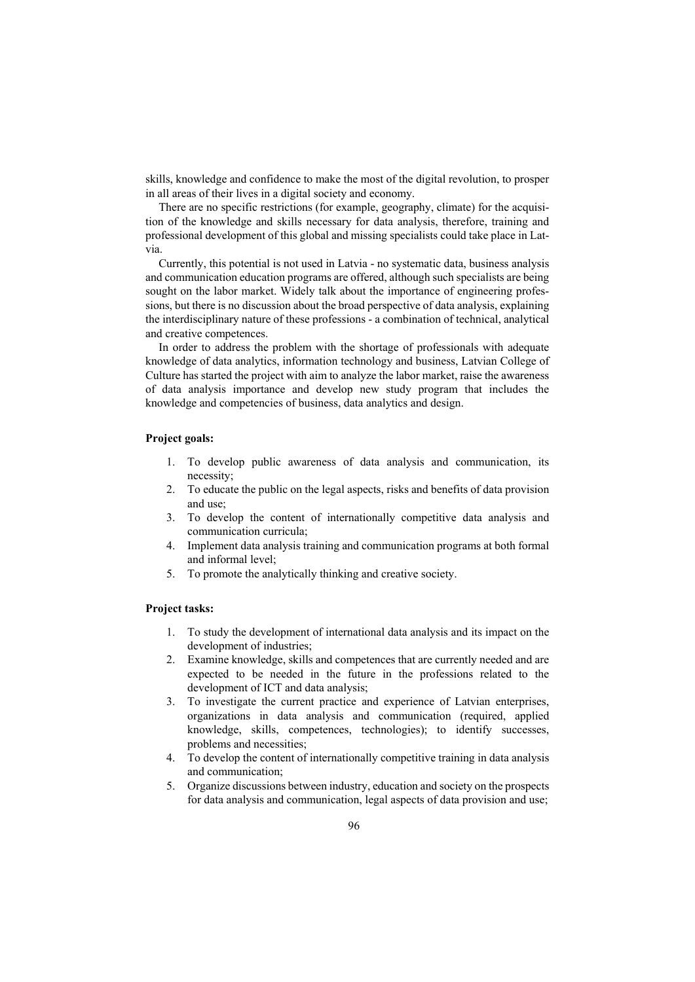skills, knowledge and confidence to make the most of the digital revolution, to prosper in all areas of their lives in a digital society and economy.

There are no specific restrictions (for example, geography, climate) for the acquisition of the knowledge and skills necessary for data analysis, therefore, training and professional development of this global and missing specialists could take place in Latvia.

Currently, this potential is not used in Latvia - no systematic data, business analysis and communication education programs are offered, although such specialists are being sought on the labor market. Widely talk about the importance of engineering professions, but there is no discussion about the broad perspective of data analysis, explaining the interdisciplinary nature of these professions - a combination of technical, analytical and creative competences.

In order to address the problem with the shortage of professionals with adequate knowledge of data analytics, information technology and business, Latvian College of Culture has started the project with aim to analyze the labor market, raise the awareness of data analysis importance and develop new study program that includes the knowledge and competencies of business, data analytics and design.

#### **Project goals:**

- 1. To develop public awareness of data analysis and communication, its necessity;
- 2. To educate the public on the legal aspects, risks and benefits of data provision and use;
- 3. To develop the content of internationally competitive data analysis and communication curricula;
- 4. Implement data analysis training and communication programs at both formal and informal level;
- 5. To promote the analytically thinking and creative society.

#### **Project tasks:**

- 1. To study the development of international data analysis and its impact on the development of industries;
- 2. Examine knowledge, skills and competences that are currently needed and are expected to be needed in the future in the professions related to the development of ICT and data analysis;
- 3. To investigate the current practice and experience of Latvian enterprises, organizations in data analysis and communication (required, applied knowledge, skills, competences, technologies); to identify successes, problems and necessities;
- 4. To develop the content of internationally competitive training in data analysis and communication;
- 5. Organize discussions between industry, education and society on the prospects for data analysis and communication, legal aspects of data provision and use;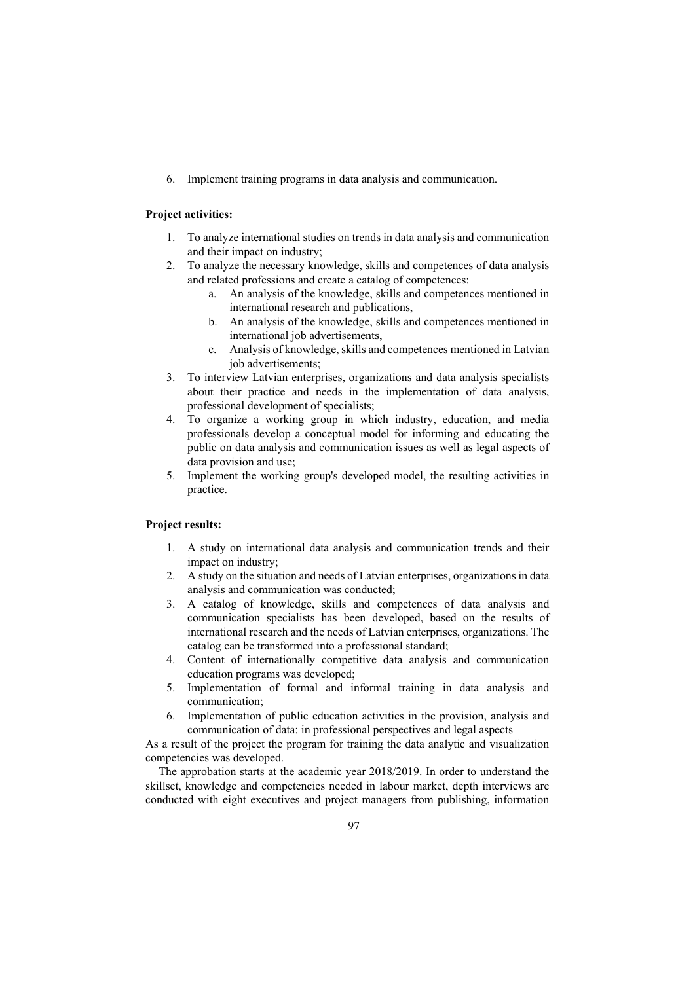6. Implement training programs in data analysis and communication.

#### **Project activities:**

- 1. To analyze international studies on trends in data analysis and communication and their impact on industry;
- 2. To analyze the necessary knowledge, skills and competences of data analysis and related professions and create a catalog of competences:
	- a. An analysis of the knowledge, skills and competences mentioned in international research and publications,
	- b. An analysis of the knowledge, skills and competences mentioned in international job advertisements,
	- c. Analysis of knowledge, skills and competences mentioned in Latvian job advertisements;
- 3. To interview Latvian enterprises, organizations and data analysis specialists about their practice and needs in the implementation of data analysis, professional development of specialists;
- 4. To organize a working group in which industry, education, and media professionals develop a conceptual model for informing and educating the public on data analysis and communication issues as well as legal aspects of data provision and use;
- 5. Implement the working group's developed model, the resulting activities in practice.

#### **Project results:**

- 1. A study on international data analysis and communication trends and their impact on industry;
- 2. A study on the situation and needs of Latvian enterprises, organizations in data analysis and communication was conducted;
- 3. A catalog of knowledge, skills and competences of data analysis and communication specialists has been developed, based on the results of international research and the needs of Latvian enterprises, organizations. The catalog can be transformed into a professional standard;
- 4. Content of internationally competitive data analysis and communication education programs was developed;
- 5. Implementation of formal and informal training in data analysis and communication;
- 6. Implementation of public education activities in the provision, analysis and communication of data: in professional perspectives and legal aspects

As a result of the project the program for training the data analytic and visualization competencies was developed.

The approbation starts at the academic year 2018/2019. In order to understand the skillset, knowledge and competencies needed in labour market, depth interviews are conducted with eight executives and project managers from publishing, information